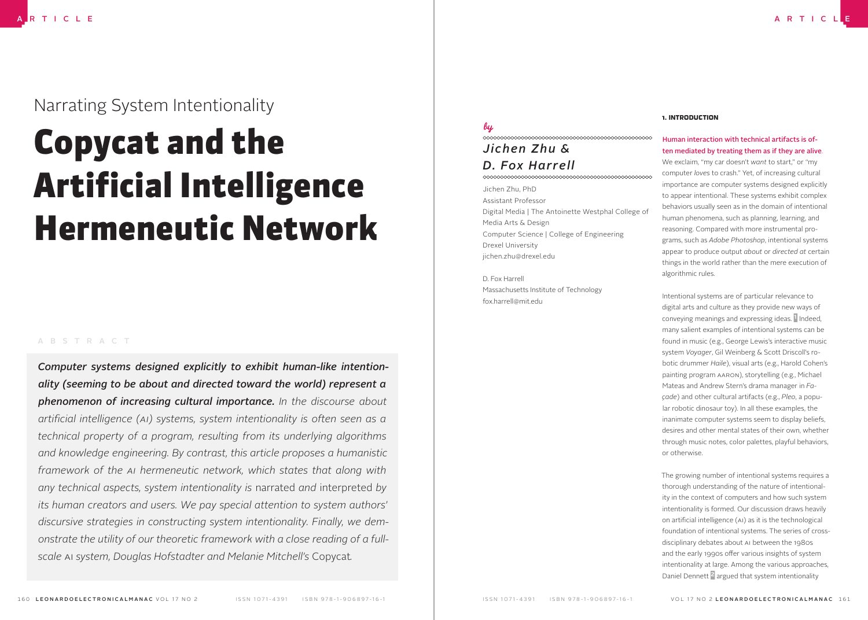# Narrating System Intentionality

# Copycat and the Artificial Intelligence Hermeneutic Network

#### ABSTRACT

*Computer systems designed explicitly to exhibit human-like intentionality (seeming to be about and directed toward the world) represent a phenomenon of increasing cultural importance. In the discourse about arti!cial intelligence (AI) systems, system intentionality is often seen as a technical property of a program, resulting from its underlying algorithms and knowledge engineering. By contrast, this article proposes a humanistic framework of the AI hermeneutic network, which states that along with any technical aspects, system intentionality is* narrated *and* interpreted *by its human creators and users. We pay special attention to system authors' discursive strategies in constructing system intentionality. Finally, we demonstrate the utility of our theoretic framework with a close reading of a fullscale* AI *system, Douglas Hofstadter and Melanie Mitchell's* Copycat*.*

## lų *Jichen Zhu & D. Fox Harrell*

### 

Jichen Zhu, PhD Assistant Professor Digital Media | The Antoinette Westphal College of Media Arts & Design Computer Science | College of Engineering Drexel University jichen.zhu@drexel.edu

D. Fox Harrell Massachusetts Institute of Technology fox.harrell@mit.edu

#### 1. INTRODUCTION

# Human interaction with technical artifacts is often mediated by treating them as if they are alive.

We exclaim, "my car doesn't *want* to start," or "my computer *loves* to crash." Yet, of increasing cultural importance are computer systems designed explicitly to appear intentional. These systems exhibit complex behaviors usually seen as in the domain of intentional human phenomena, such as planning, learning, and reasoning. Compared with more instrumental programs, such as *Adobe Photoshop*, intentional systems appear to produce output *about* or *directed at* certain things in the world rather than the mere execution of algorithmic rules.

Intentional systems are of particular relevance to digital arts and culture as they provide new ways of conveying meanings and expressing ideas. <sup>1</sup> Indeed, many salient examples of intentional systems can be found in music (e.g., George Lewis's interactive music system *Voyager*, Gil Weinberg & Scott Driscoll's robotic drummer *Haile*), visual arts (e.g., Harold Cohen's painting program AARON), storytelling (e.g., Michael Mateas and Andrew Stern's drama manager in *Façade*) and other cultural artifacts (e.g., *Pleo*, a popular robotic dinosaur toy). In all these examples, the inanimate computer systems seem to display beliefs, desires and other mental states of their own, whether through music notes, color palettes, playful behaviors, or otherwise.

The growing number of intentional systems requires a thorough understanding of the nature of intentionality in the context of computers and how such system intentionality is formed. Our discussion draws heavily on artificial intelligence (AI) as it is the technological foundation of intentional systems. The series of crossdisciplinary debates about AI between the 1980s and the early 1990s offer various insights of system intentionality at large. Among the various approaches, Daniel Dennett 2 argued that system intentionality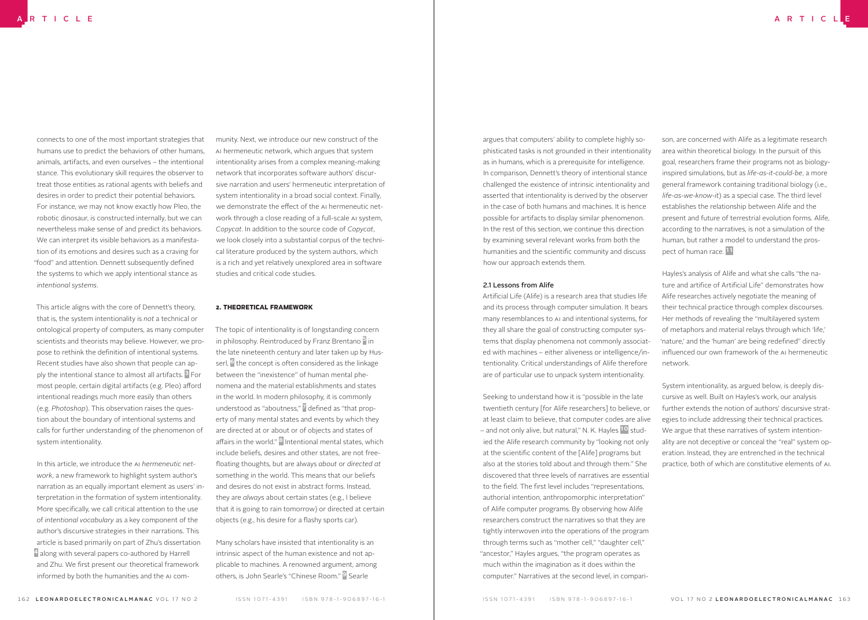connects to one of the most important strategies that humans use to predict the behaviors of other humans, animals, artifacts, and even ourselves – the intentional stance. This evolutionary skill requires the observer to treat those entities as rational agents with beliefs and desires in order to predict their potential behaviors. For instance, we may not know exactly how Pleo, the robotic dinosaur, is constructed internally, but we can nevertheless make sense of and predict its behaviors. We can interpret its visible behaviors as a manifestation of its emotions and desires such as a craving for "food" and attention. Dennett subsequently defined the systems to which we apply intentional stance as *intentional systems*.

This article aligns with the core of Dennett's theory, that is, the system intentionality is *not* a technical or ontological property of computers, as many computer scientists and theorists may believe. However, we propose to rethink the definition of intentional systems. Recent studies have also shown that people can apply the intentional stance to almost all artifacts. <sup>3</sup> For most people, certain digital artifacts (e.g. Pleo) afford intentional readings much more easily than others (e.g. *Photoshop*). This observation raises the question about the boundary of intentional systems and calls for further understanding of the phenomenon of system intentionality.

In this article, we introduce the AI *hermeneutic network*, a new framework to highlight system author's narration as an equally important element as users' interpretation in the formation of system intentionality. More specifically, we call critical attention to the use of *intentional vocabulary* as a key component of the author's discursive strategies in their narrations. This article is based primarily on part of Zhu's dissertation 4 along with several papers co-authored by Harrell and Zhu. We first present our theoretical framework informed by both the humanities and the AI community. Next, we introduce our new construct of the AI hermeneutic network, which argues that system intentionality arises from a complex meaning-making network that incorporates software authors' discursive narration and users' hermeneutic interpretation of system intentionality in a broad social context. Finally, we demonstrate the effect of the AI hermeneutic network through a close reading of a full-scale AI system, *Copycat*. In addition to the source code of *Copycat*, we look closely into a substantial corpus of the technical literature produced by the system authors, which is a rich and yet relatively unexplored area in software studies and critical code studies.

#### 2. THEORETICAL FRAMEWORK

The topic of intentionality is of longstanding concern in philosophy. Reintroduced by Franz Brentano <sup>5</sup> in the late nineteenth century and later taken up by Husserl, <sup>6</sup> the concept is often considered as the linkage between the "inexistence" of human mental phenomena and the material establishments and states in the world. In modern philosophy, it is commonly understood as "aboutness," defined as "that property of many mental states and events by which they are directed at or about or of objects and states of affairs in the world."  $\overline{8}$  Intentional mental states, which include beliefs, desires and other states, are not free-4oating thoughts, but are always *about* or *directed at* something in the world. This means that our beliefs and desires do not exist in abstract forms. Instead, they are *always* about certain states (e.g., I believe that it is going to rain tomorrow) or directed at certain objects (e.g., his desire for a flashy sports car).

Many scholars have insisted that intentionality is an intrinsic aspect of the human existence and not applicable to machines. A renowned argument, among others, is John Searle's "Chinese Room." 9 Searle

argues that computers' ability to complete highly sophisticated tasks is not grounded in their intentionality as in humans, which is a prerequisite for intelligence. In comparison, Dennett's theory of intentional stance challenged the existence of intrinsic intentionality and asserted that intentionality is derived by the observer in the case of both humans and machines. It is hence possible for artifacts to display similar phenomenon. In the rest of this section, we continue this direction by examining several relevant works from both the humanities and the scientific community and discuss how our approach extends them.

#### 2.1 Lessons from Alife

Artificial Life (Alife) is a research area that studies life and its process through computer simulation. It bears many resemblances to AI and intentional systems, for they all share the goal of constructing computer systems that display phenomena not commonly associated with machines – either aliveness or intelligence/intentionality. Critical understandings of Alife therefore are of particular use to unpack system intentionality.

Seeking to understand how it is "possible in the late twentieth century [for Alife researchers] to believe, or at least claim to believe, that computer codes are alive – and not only alive, but natural," N. K. Hayles <sup>10</sup> studied the Alife research community by "looking not only at the scientific content of the [Alife] programs but also at the stories told about and through them." She discovered that three levels of narratives are essential to the field. The first level includes "representations, authorial intention, anthropomorphic interpretation" of Alife computer programs. By observing how Alife researchers construct the narratives so that they are tightly interwoven into the operations of the program through terms such as "mother cell," "daughter cell," "ancestor," Hayles argues, "the program operates as much within the imagination as it does within the computer." Narratives at the second level, in compari-

son, are concerned with Alife as a legitimate research area within theoretical biology. In the pursuit of this goal, researchers frame their programs not as biologyinspired simulations, but as *life-as-it-could-be*, a more general framework containing traditional biology (i.e., *life-as-we-know-it*) as a special case. The third level establishes the relationship between Alife and the present and future of terrestrial evolution forms. Alife, according to the narratives, is not a simulation of the human, but rather a model to understand the prospect of human race.<sup>11</sup>

Hayles's analysis of Alife and what she calls "the nature and artifice of Artificial Life" demonstrates how Alife researches actively negotiate the meaning of their technical practice through complex discourses. Her methods of revealing the "multilayered system of metaphors and material relays through which 'life,' 'nature,' and the 'human' are being redefined" directly influenced our own framework of the AI hermeneutic network.

System intentionality, as argued below, is deeply discursive as well. Built on Hayles's work, our analysis further extends the notion of authors' discursive strategies to include addressing their technical practices. We argue that these narratives of system intentionality are not deceptive or conceal the "real" system operation. Instead, they are entrenched in the technical practice, both of which are constitutive elements of AI.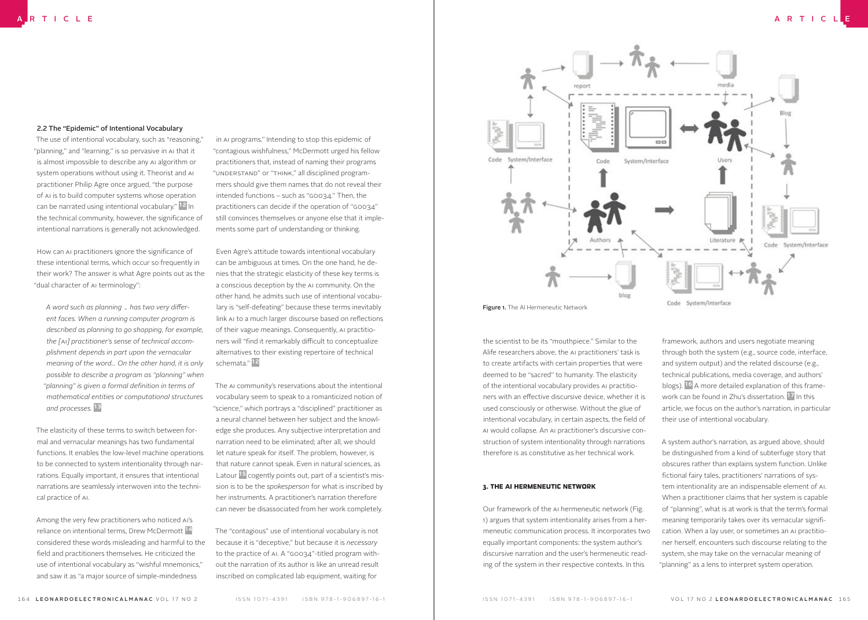#### 2.2 The "Epidemic" of Intentional Vocabulary

The use of intentional vocabulary, such as "reasoning," "planning," and "learning," is so pervasive in AI that it is almost impossible to describe any AI algorithm or system operations without using it. Theorist and AI practitioner Philip Agre once argued, "the purpose of AI is to build computer systems whose operation can be narrated using intentional vocabulary." 12 In the technical community, however, the significance of intentional narrations is generally not acknowledged.

How can AI practitioners ignore the significance of these intentional terms, which occur so frequently in their work? The answer is what Agre points out as the "dual character of AI terminology":

A word such as planning .. has two very differ*ent faces. When a running computer program is described as planning to go shopping, for example, the [*AI*] practitioner's sense of technical accomplishment depends in part upon the vernacular meaning of the word... On the other hand, it is only possible to describe a program as "planning" when "planning" is given a formal de!nition in terms of mathematical entities or computational structures and processes.* 13

The elasticity of these terms to switch between formal and vernacular meanings has two fundamental functions. It enables the low-level machine operations to be connected to system intentionality through narrations. Equally important, it ensures that intentional narrations are seamlessly interwoven into the technical practice of AI.

Among the very few practitioners who noticed AI's reliance on intentional terms, Drew McDermott 14 considered these words misleading and harmful to the field and practitioners themselves. He criticized the use of intentional vocabulary as "wishful mnemonics," and saw it as "a major source of simple-mindedness

in AI programs." Intending to stop this epidemic of "contagious wishfulness," McDermott urged his fellow practitioners that, instead of naming their programs "UNDERSTAND" or "THINK," all disciplined programmers should give them names that do not reveal their intended functions – such as "G0034." Then, the practitioners can decide if the operation of "G0034" still convinces themselves or anyone else that it implements some part of understanding or thinking.

Even Agre's attitude towards intentional vocabulary can be ambiguous at times. On the one hand, he denies that the strategic elasticity of these key terms is a conscious deception by the AI community. On the other hand, he admits such use of intentional vocabulary is "self-defeating" because these terms inevitably link AI to a much larger discourse based on reflections of their vague meanings. Consequently, AI practitioners will "find it remarkably difficult to conceptualize alternatives to their existing repertoire of technical schemata." 12

The AI community's reservations about the intentional vocabulary seem to speak to a romanticized notion of "science," which portrays a "disciplined" practitioner as a neural channel between her subject and the knowledge she produces. Any subjective interpretation and narration need to be eliminated; after all, we should let nature speak for itself. The problem, however, is that nature cannot speak. Even in natural sciences, as Latour <sup>15</sup> cogently points out, part of a scientist's mission is to be the *spokesperson* for what is inscribed by her instruments. A practitioner's narration therefore can never be disassociated from her work completely.

The "contagious" use of intentional vocabulary is not because it is "deceptive," but because it is *necessary* to the practice of AI. A "G0034"-titled program without the narration of its author is like an unread result inscribed on complicated lab equipment, waiting for



Figure 1. The AI Hermeneutic Network

Code System/Interface

the scientist to be its "mouthpiece." Similar to the Alife researchers above, the AI practitioners' task is to create artifacts with certain properties that were deemed to be "sacred" to humanity. The elasticity of the intentional vocabulary provides AI practitioners with an effective discursive device, whether it is used consciously or otherwise. Without the glue of intentional vocabulary, in certain aspects, the field of AI would collapse. An AI practitioner's discursive construction of system intentionality through narrations therefore is as constitutive as her technical work.

#### 3. THE AI HERMENEUTIC NETWORK

Our framework of the AI hermeneutic network (Fig. 1) argues that system intentionality arises from a hermeneutic communication process. It incorporates two equally important components: the system author's discursive narration and the user's hermeneutic reading of the system in their respective contexts. In this

framework, authors and users negotiate meaning through both the system (e.g., source code, interface, and system output) and the related discourse (e.g., technical publications, media coverage, and authors' blogs). 16 A more detailed explanation of this framework can be found in Zhu's dissertation. 17 In this article, we focus on the author's narration, in particular their use of intentional vocabulary.

A system author's narration, as argued above, should be distinguished from a kind of subterfuge story that obscures rather than explains system function. Unlike fictional fairy tales, practitioners' narrations of system intentionality are an indispensable element of AI. When a practitioner claims that her system is capable of "planning", what is at work is that the term's formal meaning temporarily takes over its vernacular signification. When a lay user, or sometimes an AI practitioner herself, encounters such discourse relating to the system, she may take on the vernacular meaning of "planning" as a lens to interpret system operation.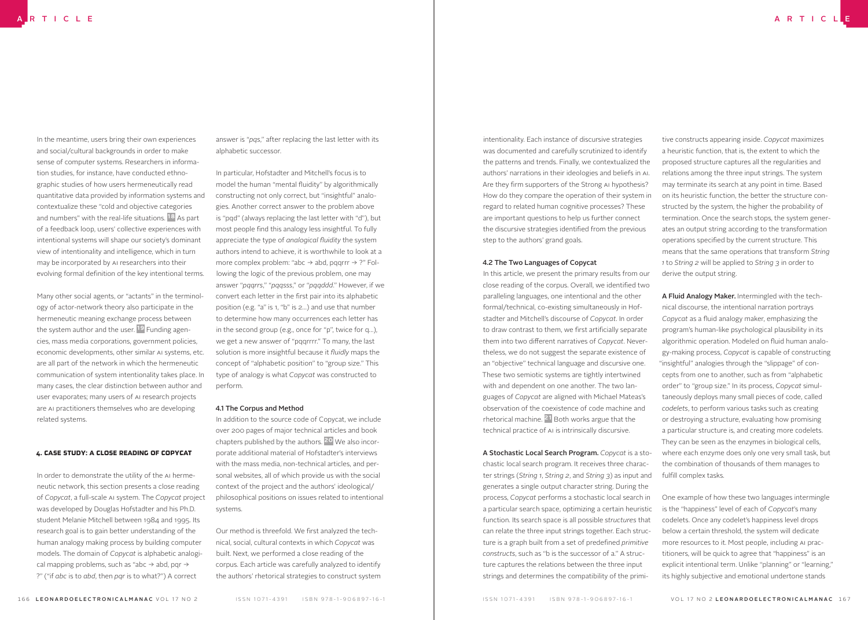In the meantime, users bring their own experiences and social/cultural backgrounds in order to make sense of computer systems. Researchers in information studies, for instance, have conducted ethnographic studies of how users hermeneutically read quantitative data provided by information systems and contextualize these "cold and objective categories and numbers" with the real-life situations.<sup>18</sup> As part of a feedback loop, users' collective experiences with intentional systems will shape our society's dominant view of intentionality and intelligence, which in turn may be incorporated by AI researchers into their evolving formal definition of the key intentional terms.

Many other social agents, or "actants" in the terminology of actor-network theory also participate in the hermeneutic meaning exchange process between the system author and the user.<sup>19</sup> Funding agencies, mass media corporations, government policies, economic developments, other similar AI systems, etc. are all part of the network in which the hermeneutic communication of system intentionality takes place. In many cases, the clear distinction between author and user evaporates; many users of AI research projects are AI practitioners themselves who are developing related systems.

#### 4. CASE STUDY: A CLOSE READING OF COPYCAT

In order to demonstrate the utility of the AI hermeneutic network, this section presents a close reading of *Copycat*, a full-scale AI system. The *Copycat* project was developed by Douglas Hofstadter and his Ph.D. student Melanie Mitchell between 1984 and 1995. Its research goal is to gain better understanding of the human analogy making process by building computer models. The domain of *Copycat* is alphabetic analogical mapping problems, such as "abc  $\rightarrow$  abd, pqr  $\rightarrow$ ?" ("if *abc* is to *abd*, then *pqr* is to what?") A correct

answer is "*pqs*," after replacing the last letter with its alphabetic successor.

In particular, Hofstadter and Mitchell's focus is to model the human "mental fluidity" by algorithmically constructing not only correct, but "insightful" analogies. Another correct answer to the problem above is "pqd" (always replacing the last letter with "d"), but most people find this analogy less insightful. To fully appreciate the type of *analogical fluidity* the system authors intend to achieve, it is worthwhile to look at a more complex problem: "abc  $\rightarrow$  abd, pqqrrr  $\rightarrow$  ?" Following the logic of the previous problem, one may answer "*pqqrrs*," "*pqqsss*," or "*pqqddd*." However, if we convert each letter in the first pair into its alphabetic position (e.g. "a" is 1, "b" is 2…) and use that number to determine how many occurrences each letter has in the second group (e.g., once for "p", twice for q…), we get a new answer of "pqqrrrr." To many, the last solution is more insightful because it *fluidly* maps the concept of "alphabetic position" to "group size." This type of analogy is what *Copycat* was constructed to perform.

#### 4.1 The Corpus and Method

In addition to the source code of Copycat, we include over 200 pages of major technical articles and book chapters published by the authors. 20 We also incorporate additional material of Hofstadter's interviews with the mass media, non-technical articles, and personal websites, all of which provide us with the social context of the project and the authors' ideological/ philosophical positions on issues related to intentional systems.

Our method is threefold. We first analyzed the technical, social, cultural contexts in which *Copycat* was built. Next, we performed a close reading of the corpus. Each article was carefully analyzed to identify the authors' rhetorical strategies to construct system

intentionality. Each instance of discursive strategies was documented and carefully scrutinized to identify the patterns and trends. Finally, we contextualized the authors' narrations in their ideologies and beliefs in AI. Are they firm supporters of the Strong AI hypothesis? How do they compare the operation of their system in regard to related human cognitive processes? These are important questions to help us further connect the discursive strategies identified from the previous step to the authors' grand goals.

#### 4.2 The Two Languages of Copycat

In this article, we present the primary results from our close reading of the corpus. Overall, we identified two paralleling languages, one intentional and the other formal/technical, co-existing simultaneously in Hofstadter and Mitchell's discourse of *Copycat*. In order to draw contrast to them, we first artificially separate them into two different narratives of *Copycat*. Nevertheless, we do not suggest the separate existence of an "objective" technical language and discursive one. These two semiotic systems are tightly intertwined with and dependent on one another. The two languages of *Copycat* are aligned with Michael Mateas's observation of the coexistence of code machine and rhetorical machine. 21 Both works argue that the technical practice of AI is intrinsically discursive.

A Stochastic Local Search Program. *Copycat* is a stochastic local search program. It receives three character strings (*String 1*, *String 2*, and *String 3*) as input and generates a single output character string. During the process, *Copycat* performs a stochastic local search in a particular search space, optimizing a certain heuristic function. Its search space is all possible *structures* that can relate the three input strings together. Each structure is a graph built from a set of predefined *primitive constructs*, such as "b is the successor of a." A structure captures the relations between the three input strings and determines the compatibility of the primi-

tive constructs appearing inside. *Copycat* maximizes a heuristic function, that is, the extent to which the proposed structure captures all the regularities and relations among the three input strings. The system may terminate its search at any point in time. Based on its heuristic function, the better the structure constructed by the system, the higher the probability of termination. Once the search stops, the system generates an output string according to the transformation operations specified by the current structure. This means that the same operations that transform *String 1* to *String 2* will be applied to *String 3* in order to derive the output string.

A Fluid Analogy Maker. Intermingled with the technical discourse, the intentional narration portrays Copycat as a fluid analogy maker, emphasizing the program's human-like psychological plausibility in its algorithmic operation. Modeled on fluid human analogy-making process, *Copycat* is capable of constructing "insightful" analogies through the "slippage" of concepts from one to another, such as from "alphabetic order" to "group size." In its process, *Copycat* simultaneously deploys many small pieces of code, called *codelets*, to perform various tasks such as creating or destroying a structure, evaluating how promising a particular structure is, and creating more codelets. They can be seen as the enzymes in biological cells, where each enzyme does only one very small task, but the combination of thousands of them manages to fulfill complex tasks.

One example of how these two languages intermingle is the "happiness" level of each of *Copycat*'s many codelets. Once any codelet's happiness level drops below a certain threshold, the system will dedicate more resources to it. Most people, including AI practitioners, will be quick to agree that "happiness" is an explicit intentional term. Unlike "planning" or "learning," its highly subjective and emotional undertone stands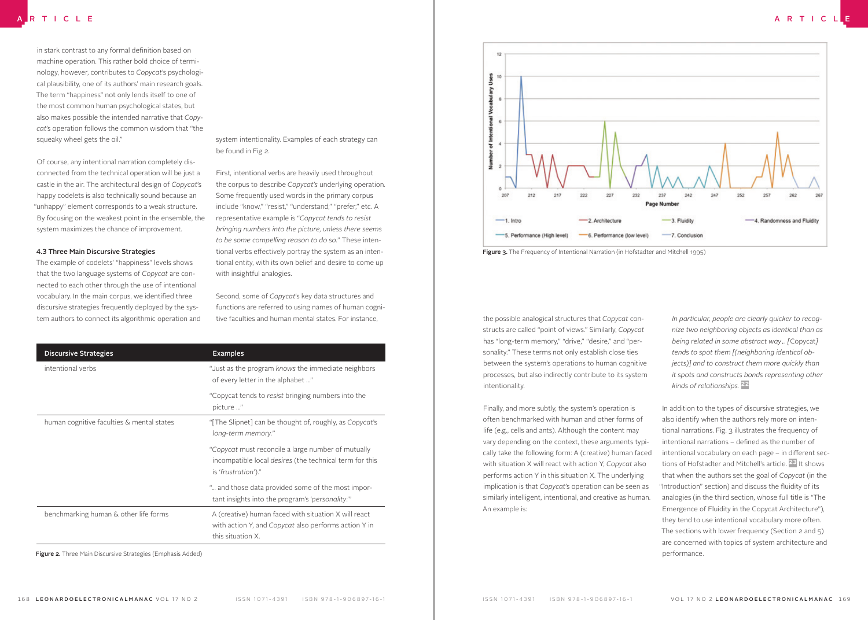in stark contrast to any formal definition based on machine operation. This rather bold choice of terminology, however, contributes to *Copycat*'s psychological plausibility, one of its authors' main research goals. The term "happiness" not only lends itself to one of the most common human psychological states, but also makes possible the intended narrative that *Copycat*'s operation follows the common wisdom that "the squeaky wheel gets the oil."

Of course, any intentional narration completely disconnected from the technical operation will be just a castle in the air. The architectural design of *Copycat*'s happy codelets is also technically sound because an "unhappy" element corresponds to a weak structure. By focusing on the weakest point in the ensemble, the system maximizes the chance of improvement.

#### 4.3 Three Main Discursive Strategies

The example of codelets' "happiness" levels shows that the two language systems of *Copycat* are connected to each other through the use of intentional vocabulary. In the main corpus, we identified three discursive strategies frequently deployed by the system authors to connect its algorithmic operation and tive faculties and human mental states. For instance, and the possible analogical structures that *Copycat* con-

system intentionality. Examples of each strategy can be found in Fig 2.

First, intentional verbs are heavily used throughout the corpus to describe *Copycat's* underlying operation. Some frequently used words in the primary corpus include "know," "resist," "understand," "prefer," etc. A representative example is "*Copycat tends to resist bringing numbers into the picture, unless there seems to be some compelling reason to do so.*" These intentional verbs effectively portray the system as an intentional entity, with its own belief and desire to come up with insightful analogies.

Second, some of *Copycat*'s key data structures and functions are referred to using names of human cognitive faculties and human mental states. For instance,

| <b>Discursive Strategies</b>              | <b>Examples</b>                                                                                                                             |
|-------------------------------------------|---------------------------------------------------------------------------------------------------------------------------------------------|
| intentional verbs                         | "Just as the program knows the immediate neighbors<br>of every letter in the alphabet "                                                     |
|                                           | "Copycat tends to resist bringing numbers into the<br>picture "                                                                             |
| human cognitive faculties & mental states | "[The Slipnet] can be thought of, roughly, as Copycat's<br>long-term memory."                                                               |
|                                           | "Copycat must reconcile a large number of mutually<br>incompatible local <i>desires</i> (the technical term for this<br>is 'frustration')." |
|                                           | " and those data provided some of the most impor-<br>tant insights into the program's 'personality.'"                                       |
| benchmarking human & other life forms     | A (creative) human faced with situation X will react<br>with action Y, and Copycat also performs action Y in<br>this situation X.           |

Figure 2. Three Main Discursive Strategies (Emphasis Added)





structs are called "point of views." Similarly, *Copycat* has "long-term memory," "drive," "desire," and "personality." These terms not only establish close ties between the system's operations to human cognitive processes, but also indirectly contribute to its system intentionality.

Finally, and more subtly, the system's operation is often benchmarked with human and other forms of life (e.g., cells and ants). Although the content may vary depending on the context, these arguments typically take the following form: A (creative) human faced with situation X will react with action Y; *Copycat* also performs action Y in this situation X. The underlying implication is that *Copycat*'s operation can be seen as similarly intelligent, intentional, and creative as human. An example is:

*In particular, people are clearly quicker to recognize two neighboring objects as identical than as being related in some abstract way… [*Copycat*] tends to spot them [(neighboring identical objects)] and to construct them more quickly than it spots and constructs bonds representing other kinds of relationships.* 22

In addition to the types of discursive strategies, we also identify when the authors rely more on intentional narrations. Fig. 3 illustrates the frequency of intentional narrations - defined as the number of intentional vocabulary on each page – in different sections of Hofstadter and Mitchell's article.<sup>23</sup> It shows that when the authors set the goal of *Copycat* (in the "Introduction" section) and discuss the fluidity of its analogies (in the third section, whose full title is "The Emergence of Fluidity in the Copycat Architecture"), they tend to use intentional vocabulary more often. The sections with lower frequency (Section 2 and 5) are concerned with topics of system architecture and performance.